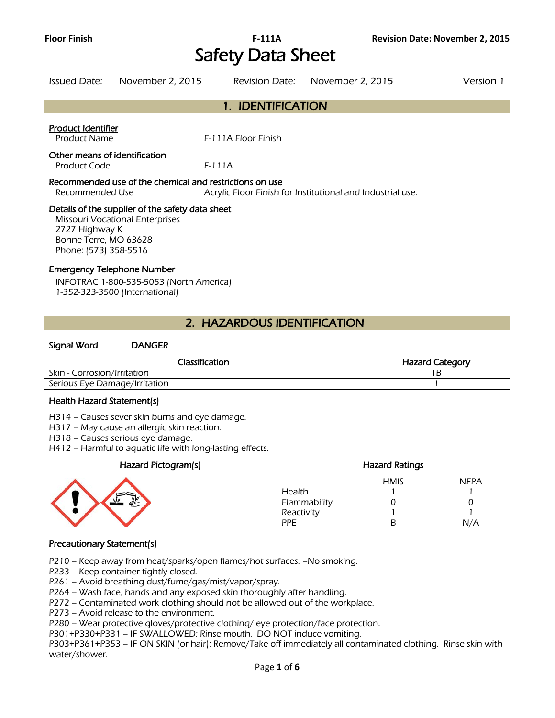# **Floor Finish F-111A Revision Date: November 2, 2015**  Safety Data Sheet

| Issued Date:                                  | November 2, 2015                                                                           | Revision Date:      | November 2, 2015                                           | Version 1 |
|-----------------------------------------------|--------------------------------------------------------------------------------------------|---------------------|------------------------------------------------------------|-----------|
|                                               |                                                                                            | 1. IDENTIFICATION   |                                                            |           |
| Product Identifier<br><b>Product Name</b>     |                                                                                            | F-111A Floor Finish |                                                            |           |
| Other means of identification<br>Product Code |                                                                                            | $F-111A$            |                                                            |           |
| Recommended Use                               | Recommended use of the chemical and restrictions on use                                    |                     | Acrylic Floor Finish for Institutional and Industrial use. |           |
|                                               | Details of the supplier of the safety data sheet<br><b>Missouri Vocational Enterprises</b> |                     |                                                            |           |

Missouri Vocational Enterprises 2727 Highway K Bonne Terre, MO 63628 Phone: (573) 358-5516

#### Emergency Telephone Number

INFOTRAC 1-800-535-5053 (North America) 1-352-323-3500 (International)

## 2. HAZARDOUS IDENTIFICATION

#### Signal Word DANGER

| Classification                | <b>Hazard Category</b> |
|-------------------------------|------------------------|
| Skin - Corrosion/Irritation   |                        |
| Serious Eye Damage/Irritation |                        |
|                               |                        |

#### Health Hazard Statement(s)

H314 – Causes sever skin burns and eye damage.

H317 – May cause an allergic skin reaction.

H318 – Causes serious eye damage.

H412 – Harmful to aquatic life with long-lasting effects.

#### Hazard Pictogram(s) Hazard Ratings



|              | <b>HMIS</b> | <b>NFPA</b> |
|--------------|-------------|-------------|
| Health       |             |             |
| Flammability | 0           | 0           |
| Reactivity   |             |             |
| PPF.         | R           | N/A         |

### Precautionary Statement(s)

P210 – Keep away from heat/sparks/open flames/hot surfaces. –No smoking.

P233 – Keep container tightly closed.

P261 – Avoid breathing dust/fume/gas/mist/vapor/spray.

P264 – Wash face, hands and any exposed skin thoroughly after handling.

P272 – Contaminated work clothing should not be allowed out of the workplace.

P273 – Avoid release to the environment.

P280 – Wear protective gloves/protective clothing/ eye protection/face protection.

P301+P330+P331 – IF SWALLOWED: Rinse mouth. DO NOT induce vomiting.

P303+P361+P353 – IF ON SKIN (or hair): Remove/Take off immediately all contaminated clothing. Rinse skin with water/shower.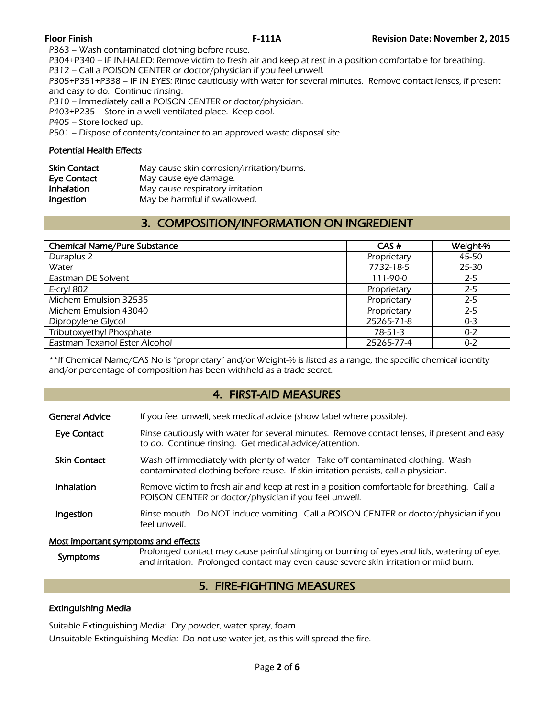P363 – Wash contaminated clothing before reuse.

P304+P340 – IF INHALED: Remove victim to fresh air and keep at rest in a position comfortable for breathing. P312 – Call a POISON CENTER or doctor/physician if you feel unwell.

P305+P351+P338 – IF IN EYES: Rinse cautiously with water for several minutes. Remove contact lenses, if present and easy to do. Continue rinsing.

P310 – Immediately call a POISON CENTER or doctor/physician.

P403+P235 – Store in a well-ventilated place. Keep cool.

P405 – Store locked up.

P501 – Dispose of contents/container to an approved waste disposal site.

### Potential Health Effects

| <b>Skin Contact</b> | May cause skin corrosion/irritation/burns. |
|---------------------|--------------------------------------------|
| Eye Contact         | May cause eye damage.                      |
| Inhalation          | May cause respiratory irritation.          |
| Ingestion           | May be harmful if swallowed.               |

# 3. COMPOSITION/INFORMATION ON INGREDIENT

| <b>Chemical Name/Pure Substance</b> | CAS#          | Weight-% |
|-------------------------------------|---------------|----------|
| Duraplus 2                          | Proprietary   | 45-50    |
| Water                               | 7732-18-5     | 25-30    |
| Eastman DE Solvent                  | 111-90-0      | $2 - 5$  |
| E-cryl 802                          | Proprietary   | $2 - 5$  |
| Michem Emulsion 32535               | Proprietary   | $2 - 5$  |
| Michem Emulsion 43040               | Proprietary   | $2 - 5$  |
| Dipropylene Glycol                  | 25265-71-8    | $0 - 3$  |
| Tributoxyethyl Phosphate            | $78 - 51 - 3$ | $0 - 2$  |
| Eastman Texanol Ester Alcohol       | 25265-77-4    | $0 - 2$  |
|                                     |               |          |

\*\*If Chemical Name/CAS No is "proprietary" and/or Weight-% is listed as a range, the specific chemical identity and/or percentage of composition has been withheld as a trade secret.

# 4. FIRST-AID MEASURES

| General Advice                      | If you feel unwell, seek medical advice (show label where possible).                                                                                                  |
|-------------------------------------|-----------------------------------------------------------------------------------------------------------------------------------------------------------------------|
| Eye Contact                         | Rinse cautiously with water for several minutes. Remove contact lenses, if present and easy<br>to do. Continue rinsing. Get medical advice/attention.                 |
| <b>Skin Contact</b>                 | Wash off immediately with plenty of water. Take off contaminated clothing. Wash<br>contaminated clothing before reuse. If skin irritation persists, call a physician. |
| <b>Inhalation</b>                   | Remove victim to fresh air and keep at rest in a position comfortable for breathing. Call a<br>POISON CENTER or doctor/physician if you feel unwell.                  |
| Ingestion                           | Rinse mouth. Do NOT induce vomiting. Call a POISON CENTER or doctor/physician if you<br>feel unwell.                                                                  |
| Most important symptoms and offects |                                                                                                                                                                       |

#### Most important symptoms and effects

| Symptoms | Prolonged contact may cause painful stinging or burning of eyes and lids, watering of eye, |
|----------|--------------------------------------------------------------------------------------------|
|          | and irritation. Prolonged contact may even cause severe skin irritation or mild burn.      |

# 5. FIRE-FIGHTING MEASURES

### Extinguishing Media

Suitable Extinguishing Media: Dry powder, water spray, foam Unsuitable Extinguishing Media: Do not use water jet, as this will spread the fire.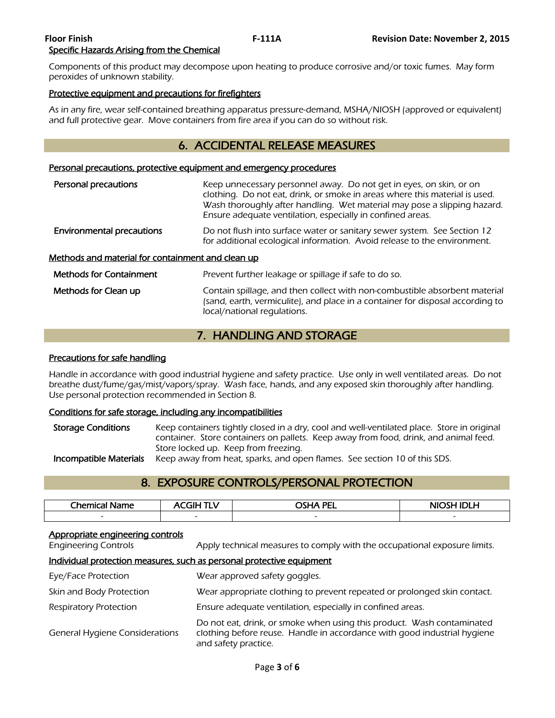#### **Floor Finish F-111A Revision Date: November 2, 2015**  Specific Hazards Arising from the Chemical

Components of this product may decompose upon heating to produce corrosive and/or toxic fumes. May form peroxides of unknown stability.

#### Protective equipment and precautions for firefighters

As in any fire, wear self-contained breathing apparatus pressure-demand, MSHA/NIOSH (approved or equivalent) and full protective gear. Move containers from fire area if you can do so without risk.

# 6. ACCIDENTAL RELEASE MEASURES

#### Personal precautions, protective equipment and emergency procedures

| Personal precautions                              | Keep unnecessary personnel away. Do not get in eyes, on skin, or on<br>clothing. Do not eat, drink, or smoke in areas where this material is used.<br>Wash thoroughly after handling. Wet material may pose a slipping hazard.<br>Ensure adequate ventilation, especially in confined areas. |
|---------------------------------------------------|----------------------------------------------------------------------------------------------------------------------------------------------------------------------------------------------------------------------------------------------------------------------------------------------|
| <b>Environmental precautions</b>                  | Do not flush into surface water or sanitary sewer system. See Section 12<br>for additional ecological information. Avoid release to the environment.                                                                                                                                         |
| Methods and material for containment and clean up |                                                                                                                                                                                                                                                                                              |
| <b>Methods for Containment</b>                    | Prevent further leakage or spillage if safe to do so.                                                                                                                                                                                                                                        |
| Methods for Clean up                              | Contain spillage, and then collect with non-combustible absorbent material<br>(sand, earth, vermiculite), and place in a container for disposal according to<br>local/national regulations.                                                                                                  |

# 7. HANDLING AND STORAGE

#### Precautions for safe handling

Handle in accordance with good industrial hygiene and safety practice. Use only in well ventilated areas. Do not breathe dust/fume/gas/mist/vapors/spray. Wash face, hands, and any exposed skin thoroughly after handling. Use personal protection recommended in Section 8.

### Conditions for safe storage, including any incompatibilities

Storage Conditions Keep containers tightly closed in a dry, cool and well-ventilated place. Store in original container. Store containers on pallets. Keep away from food, drink, and animal feed. Store locked up. Keep from freezing. **Incompatible Materials** Keep away from heat, sparks, and open flames. See section 10 of this SDS.

# 8. EXPOSURE CONTROLS/PERSONAL PROTECTION

| <b>Chemical</b>          | ----<br>GIH              | <b>OSHA PEI</b><br>-- | NIOSH IDI H              |
|--------------------------|--------------------------|-----------------------|--------------------------|
| $\overline{\phantom{0}}$ | $\overline{\phantom{0}}$ | -                     | $\overline{\phantom{a}}$ |
|                          |                          |                       |                          |

#### Appropriate engineering controls

Engineering Controls Apply technical measures to comply with the occupational exposure limits.

#### Individual protection measures, such as personal protective equipment

| Eye/Face Protection                   | Wear approved safety goggles.                                                                                                                                              |
|---------------------------------------|----------------------------------------------------------------------------------------------------------------------------------------------------------------------------|
| Skin and Body Protection              | Wear appropriate clothing to prevent repeated or prolonged skin contact.                                                                                                   |
| Respiratory Protection                | Ensure adequate ventilation, especially in confined areas.                                                                                                                 |
| <b>General Hygiene Considerations</b> | Do not eat, drink, or smoke when using this product. Wash contaminated<br>clothing before reuse. Handle in accordance with good industrial hygiene<br>and safety practice. |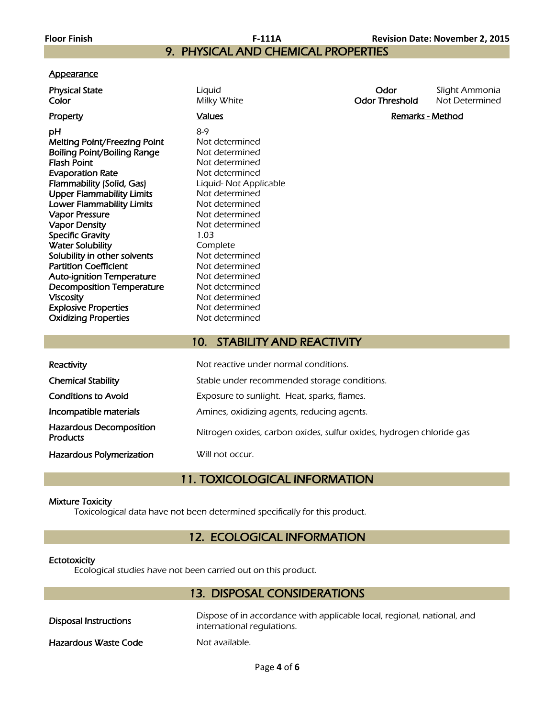# 9. PHYSICAL AND CHEMICAL PROPERTIES

#### **Appearance**

| Physical State | ∟iquid      | Odor           | Slight Ammonia |
|----------------|-------------|----------------|----------------|
| Color          | Milky White | Odor Threshold | Not Determined |
|                |             |                |                |

**pH** 8-9 Melting Point/Freezing Point Not determined Boiling Point/Boiling Range Not determined Flash Point **Flash Point** Not determined Evaporation Rate Not determined Flammability (Solid, Gas) Liquid- Not Applicable Upper Flammability Limits<br>
Lower Flammability Limits<br>
Not determined **Lower Flammability Limits** Not determined<br> **Vapor Pressure** Not determined Vapor Pressure Vapor Density **Not determined** Specific Gravity 1.03 Water Solubility<br>
Solubility in other solvents<br>
Not determined Solubility in other solvents Partition Coefficient Not determined Auto-ignition Temperature Mot determined Decomposition Temperature Mot determined Viscosity **Not determined** Explosive Properties Not determined Oxidizing Properties Not determined

Property **Example 2** and Marks Controllers and Marks Controllers and Marks And Marks And Marks And Marks And Marks And Marks And Marks And Marks And Marks And Marks And Marks And Marks And Marks And Marks And Marks And Mar

# 10. STABILITY AND REACTIVITY

| Reactivity                                        | Not reactive under normal conditions.                                |
|---------------------------------------------------|----------------------------------------------------------------------|
| <b>Chemical Stability</b>                         | Stable under recommended storage conditions.                         |
| <b>Conditions to Avoid</b>                        | Exposure to sunlight. Heat, sparks, flames.                          |
| Incompatible materials                            | Amines, oxidizing agents, reducing agents.                           |
| <b>Hazardous Decomposition</b><br><b>Products</b> | Nitrogen oxides, carbon oxides, sulfur oxides, hydrogen chloride gas |
| <b>Hazardous Polymerization</b>                   | Will not occur.                                                      |

# 11. TOXICOLOGICAL INFORMATION

#### Mixture Toxicity

Toxicological data have not been determined specifically for this product.

# 12. ECOLOGICAL INFORMATION

#### **Ectotoxicity**

Ecological studies have not been carried out on this product.

## 13. DISPOSAL CONSIDERATIONS

| Disposal Instructions | Dispose of in accordance with applicable local, regional, national, and<br>international regulations. |
|-----------------------|-------------------------------------------------------------------------------------------------------|
| Hazardous Waste Code  | Not available.                                                                                        |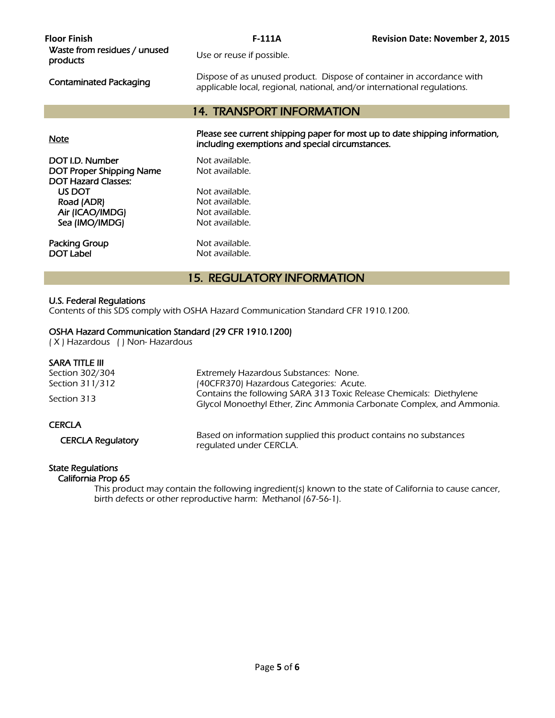| <b>Floor Finish</b><br>Waste from residues / unused<br>products | $F-111A$<br>Use or reuse if possible.<br>Dispose of as unused product. Dispose of container in accordance with                 | <b>Revision Date: November 2, 2015</b> |
|-----------------------------------------------------------------|--------------------------------------------------------------------------------------------------------------------------------|----------------------------------------|
| <b>Contaminated Packaging</b>                                   | applicable local, regional, national, and/or international regulations.                                                        |                                        |
|                                                                 | <b>14. TRANSPORT INFORMATION</b>                                                                                               |                                        |
| <b>Note</b>                                                     | Please see current shipping paper for most up to date shipping information,<br>including exemptions and special circumstances. |                                        |
| DOT I.D. Number                                                 | Not available.                                                                                                                 |                                        |
| DOT Proper Shipping Name<br><b>DOT Hazard Classes:</b>          | Not available.                                                                                                                 |                                        |
| US DOT                                                          | Not available.                                                                                                                 |                                        |
| Road (ADR)                                                      | Not available.                                                                                                                 |                                        |
| Air (ICAO/IMDG)                                                 | Not available.                                                                                                                 |                                        |
| Sea (IMO/IMDG)                                                  | Not available.                                                                                                                 |                                        |
| Packing Group                                                   | Not available.                                                                                                                 |                                        |

# 15. REGULATORY INFORMATION

#### U.S. Federal Regulations

Contents of this SDS comply with OSHA Hazard Communication Standard CFR 1910.1200.

### OSHA Hazard Communication Standard (29 CFR 1910.1200)

**DOT Label Not available.** 

( X ) Hazardous ( ) Non- Hazardous

#### SARA TITLE III

| Section 302/304<br>Section 311/312 | Extremely Hazardous Substances: None.<br>(40CFR370) Hazardous Categories: Acute.                                                            |
|------------------------------------|---------------------------------------------------------------------------------------------------------------------------------------------|
| Section 313                        | Contains the following SARA 313 Toxic Release Chemicals: Diethylene<br>Glycol Monoethyl Ether, Zinc Ammonia Carbonate Complex, and Ammonia. |
| <b>CERCLA</b>                      |                                                                                                                                             |
| <b>CERCLA Regulatory</b>           | Based on information supplied this product contains no substances<br>requlated under CERCLA.                                                |

#### State Regulations

California Prop 65

 This product may contain the following ingredient(s) known to the state of California to cause cancer, birth defects or other reproductive harm: Methanol (67-56-1).